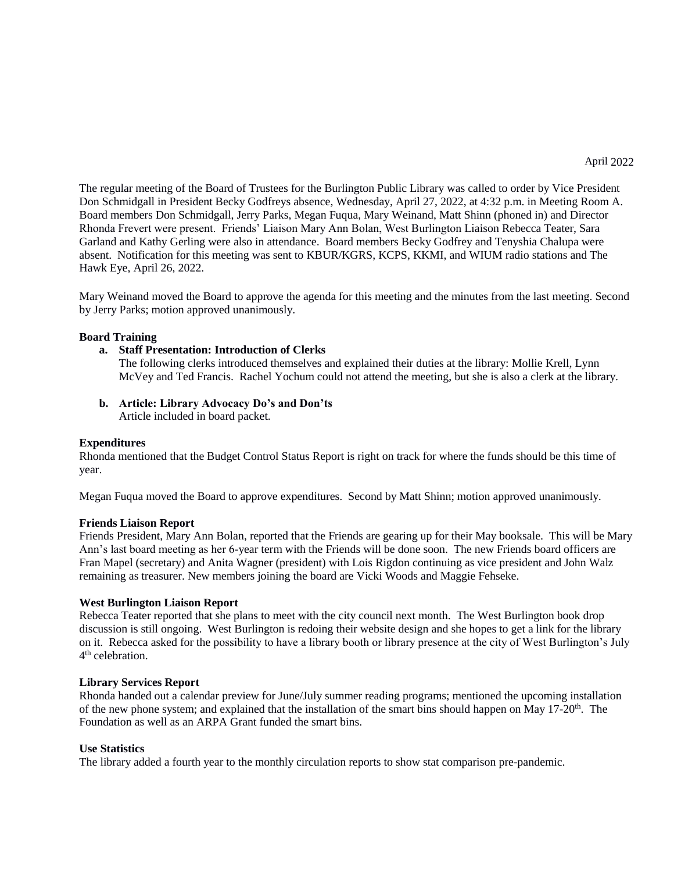The regular meeting of the Board of Trustees for the Burlington Public Library was called to order by Vice President Don Schmidgall in President Becky Godfreys absence, Wednesday, April 27, 2022, at 4:32 p.m. in Meeting Room A. Board members Don Schmidgall, Jerry Parks, Megan Fuqua, Mary Weinand, Matt Shinn (phoned in) and Director Rhonda Frevert were present. Friends' Liaison Mary Ann Bolan, West Burlington Liaison Rebecca Teater, Sara Garland and Kathy Gerling were also in attendance. Board members Becky Godfrey and Tenyshia Chalupa were absent. Notification for this meeting was sent to KBUR/KGRS, KCPS, KKMI, and WIUM radio stations and The Hawk Eye, April 26, 2022.

Mary Weinand moved the Board to approve the agenda for this meeting and the minutes from the last meeting. Second by Jerry Parks; motion approved unanimously.

### **Board Training**

**a. Staff Presentation: Introduction of Clerks**

The following clerks introduced themselves and explained their duties at the library: Mollie Krell, Lynn McVey and Ted Francis. Rachel Yochum could not attend the meeting, but she is also a clerk at the library.

**b. Article: Library Advocacy Do's and Don'ts**

Article included in board packet.

## **Expenditures**

Rhonda mentioned that the Budget Control Status Report is right on track for where the funds should be this time of year.

Megan Fuqua moved the Board to approve expenditures. Second by Matt Shinn; motion approved unanimously.

## **Friends Liaison Report**

Friends President, Mary Ann Bolan, reported that the Friends are gearing up for their May booksale. This will be Mary Ann's last board meeting as her 6-year term with the Friends will be done soon. The new Friends board officers are Fran Mapel (secretary) and Anita Wagner (president) with Lois Rigdon continuing as vice president and John Walz remaining as treasurer. New members joining the board are Vicki Woods and Maggie Fehseke.

## **West Burlington Liaison Report**

Rebecca Teater reported that she plans to meet with the city council next month. The West Burlington book drop discussion is still ongoing. West Burlington is redoing their website design and she hopes to get a link for the library on it. Rebecca asked for the possibility to have a library booth or library presence at the city of West Burlington's July 4<sup>th</sup> celebration.

#### **Library Services Report**

Rhonda handed out a calendar preview for June/July summer reading programs; mentioned the upcoming installation of the new phone system; and explained that the installation of the smart bins should happen on May  $17{\text -}20^{\text{th}}$ . The Foundation as well as an ARPA Grant funded the smart bins.

#### **Use Statistics**

The library added a fourth year to the monthly circulation reports to show stat comparison pre-pandemic.